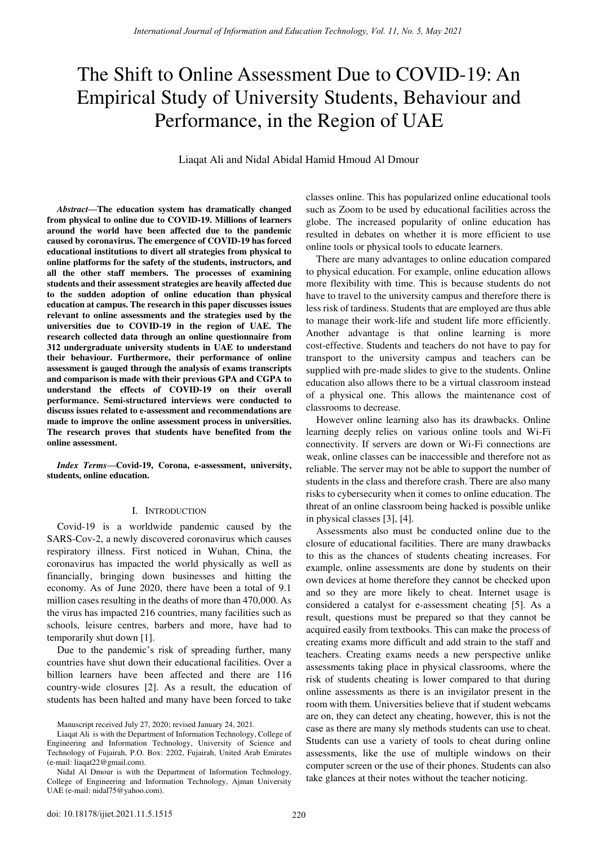# The Shift to Online Assessment Due to COVID-19: An Empirical Study of University Students, Behaviour and Performance, in the Region of UAE

Liaqat Ali and Nidal Abidal Hamid Hmoud Al Dmour

*Abstract***—The education system has dramatically changed from physical to online due to COVID-19. Millions of learners around the world have been affected due to the pandemic caused by coronavirus. The emergence of COVID-19 has forced educational institutions to divert all strategies from physical to online platforms for the safety of the students, instructors, and all the other staff members. The processes of examining students and their assessment strategies are heavily affected due to the sudden adoption of online education than physical education at campus. The research in this paper discusses issues relevant to online assessments and the strategies used by the universities due to COVID-19 in the region of UAE. The research collected data through an online questionnaire from 312 undergraduate university students in UAE to understand their behaviour. Furthermore, their performance of online assessment is gauged through the analysis of exams transcripts and comparison is made with their previous GPA and CGPA to understand the effects of COVID-19 on their overall performance. Semi-structured interviews were conducted to discuss issues related to e-assessment and recommendations are made to improve the online assessment process in universities. The research proves that students have benefited from the online assessment.** 

*Index Terms***—Covid-19, Corona, e-assessment, university, students, online education.** 

## I. INTRODUCTION

Covid-19 is a worldwide pandemic caused by the SARS-Cov-2, a newly discovered coronavirus which causes respiratory illness. First noticed in Wuhan, China, the coronavirus has impacted the world physically as well as financially, bringing down businesses and hitting the economy. As of June 2020, there have been a total of 9.1 million cases resulting in the deaths of more than 470,000. As the virus has impacted 216 countries, many facilities such as schools, leisure centres, barbers and more, have had to temporarily shut down [1].

Due to the pandemic's risk of spreading further, many countries have shut down their educational facilities. Over a billion learners have been affected and there are 116 country-wide closures [2]. As a result, the education of students has been halted and many have been forced to take classes online. This has popularized online educational tools such as Zoom to be used by educational facilities across the globe. The increased popularity of online education has resulted in debates on whether it is more efficient to use online tools or physical tools to educate learners.

There are many advantages to online education compared to physical education. For example, online education allows more flexibility with time. This is because students do not have to travel to the university campus and therefore there is less risk of tardiness. Students that are employed are thus able to manage their work-life and student life more efficiently. Another advantage is that online learning is more cost-effective. Students and teachers do not have to pay for transport to the university campus and teachers can be supplied with pre-made slides to give to the students. Online education also allows there to be a virtual classroom instead of a physical one. This allows the maintenance cost of classrooms to decrease.

However online learning also has its drawbacks. Online learning deeply relies on various online tools and Wi-Fi connectivity. If servers are down or Wi-Fi connections are weak, online classes can be inaccessible and therefore not as reliable. The server may not be able to support the number of students in the class and therefore crash. There are also many risks to cybersecurity when it comes to online education. The threat of an online classroom being hacked is possible unlike in physical classes [3], [4].

Assessments also must be conducted online due to the closure of educational facilities. There are many drawbacks to this as the chances of students cheating increases. For example, online assessments are done by students on their own devices at home therefore they cannot be checked upon and so they are more likely to cheat. Internet usage is considered a catalyst for e-assessment cheating [5]. As a result, questions must be prepared so that they cannot be acquired easily from textbooks. This can make the process of creating exams more difficult and add strain to the staff and teachers. Creating exams needs a new perspective unlike assessments taking place in physical classrooms, where the risk of students cheating is lower compared to that during online assessments as there is an invigilator present in the room with them. Universities believe that if student webcams are on, they can detect any cheating, however, this is not the case as there are many sly methods students can use to cheat. Students can use a variety of tools to cheat during online assessments, like the use of multiple windows on their computer screen or the use of their phones. Students can also take glances at their notes without the teacher noticing.

Manuscript received July 27, 2020; revised January 24, 2021.

Liaqat Ali is with the Department of Information Technology, College of Engineering and Information Technology, University of Science and Technology of Fujairah, P.O. Box: 2202, Fujairah, United Arab Emirates (e-mail: [liaqat22@gmail.com\)](mailto:liaqat22@gmail.com).

Nidal Al Dmour is with the Department of Information Technology, College of Engineering and Information Technology, Ajman University UAE (e-mail[: nidal75@yahoo.com\)](mailto:nidal75@yahoo.com).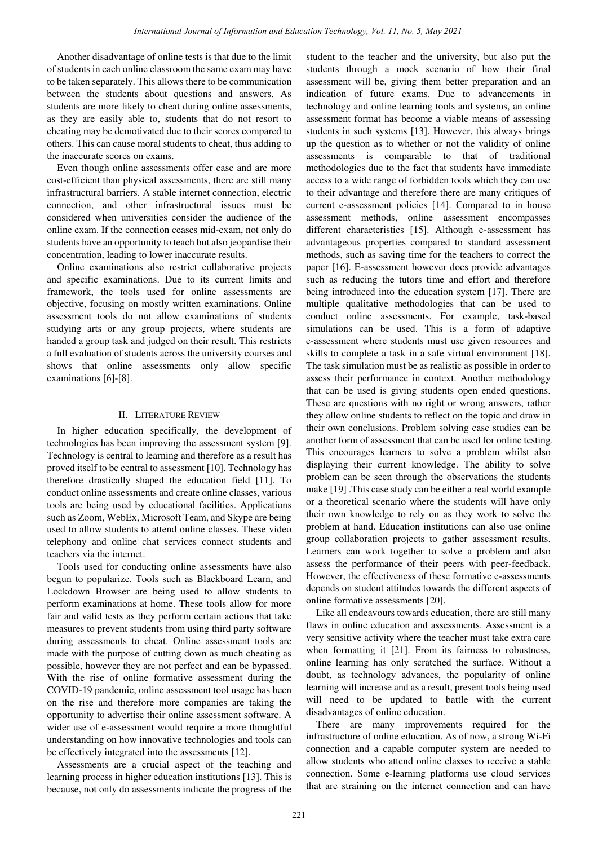Another disadvantage of online tests is that due to the limit of students in each online classroom the same exam may have to be taken separately. This allows there to be communication between the students about questions and answers. As students are more likely to cheat during online assessments, as they are easily able to, students that do not resort to cheating may be demotivated due to their scores compared to others. This can cause moral students to cheat, thus adding to the inaccurate scores on exams.

Even though online assessments offer ease and are more cost-efficient than physical assessments, there are still many infrastructural barriers. A stable internet connection, electric connection, and other infrastructural issues must be considered when universities consider the audience of the online exam. If the connection ceases mid-exam, not only do students have an opportunity to teach but also jeopardise their concentration, leading to lower inaccurate results.

Online examinations also restrict collaborative projects and specific examinations. Due to its current limits and framework, the tools used for online assessments are objective, focusing on mostly written examinations. Online assessment tools do not allow examinations of students studying arts or any group projects, where students are handed a group task and judged on their result. This restricts a full evaluation of students across the university courses and shows that online assessments only allow specific examinations [6]-[8].

## II. LITERATURE REVIEW

In higher education specifically, the development of technologies has been improving the assessment system [9]. Technology is central to learning and therefore as a result has proved itself to be central to assessment [10]. Technology has therefore drastically shaped the education field [11]. To conduct online assessments and create online classes, various tools are being used by educational facilities. Applications such as Zoom, WebEx, Microsoft Team, and Skype are being used to allow students to attend online classes. These video telephony and online chat services connect students and teachers via the internet.

Tools used for conducting online assessments have also begun to popularize. Tools such as Blackboard Learn, and Lockdown Browser are being used to allow students to perform examinations at home. These tools allow for more fair and valid tests as they perform certain actions that take measures to prevent students from using third party software during assessments to cheat. Online assessment tools are made with the purpose of cutting down as much cheating as possible, however they are not perfect and can be bypassed. With the rise of online formative assessment during the COVID-19 pandemic, online assessment tool usage has been on the rise and therefore more companies are taking the opportunity to advertise their online assessment software. A wider use of e-assessment would require a more thoughtful understanding on how innovative technologies and tools can be effectively integrated into the assessments [12].

Assessments are a crucial aspect of the teaching and learning process in higher education institutions [13]. This is because, not only do assessments indicate the progress of the student to the teacher and the university, but also put the students through a mock scenario of how their final assessment will be, giving them better preparation and an indication of future exams. Due to advancements in technology and online learning tools and systems, an online assessment format has become a viable means of assessing students in such systems [13]. However, this always brings up the question as to whether or not the validity of online assessments is comparable to that of traditional methodologies due to the fact that students have immediate access to a wide range of forbidden tools which they can use to their advantage and therefore there are many critiques of current e-assessment policies [14]. Compared to in house assessment methods, online assessment encompasses different characteristics [15]. Although e-assessment has advantageous properties compared to standard assessment methods, such as saving time for the teachers to correct the paper [16]. E-assessment however does provide advantages such as reducing the tutors time and effort and therefore being introduced into the education system [17]. There are multiple qualitative methodologies that can be used to conduct online assessments. For example, task-based simulations can be used. This is a form of adaptive e-assessment where students must use given resources and skills to complete a task in a safe virtual environment [18]. The task simulation must be as realistic as possible in order to assess their performance in context. Another methodology that can be used is giving students open ended questions. These are questions with no right or wrong answers, rather they allow online students to reflect on the topic and draw in their own conclusions. Problem solving case studies can be another form of assessment that can be used for online testing. This encourages learners to solve a problem whilst also displaying their current knowledge. The ability to solve problem can be seen through the observations the students make [19] .This case study can be either a real world example or a theoretical scenario where the students will have only their own knowledge to rely on as they work to solve the problem at hand. Education institutions can also use online group collaboration projects to gather assessment results. Learners can work together to solve a problem and also assess the performance of their peers with peer-feedback. However, the effectiveness of these formative e-assessments depends on student attitudes towards the different aspects of online formative assessments [20].

Like all endeavours towards education, there are still many flaws in online education and assessments. Assessment is a very sensitive activity where the teacher must take extra care when formatting it [21]. From its fairness to robustness, online learning has only scratched the surface. Without a doubt, as technology advances, the popularity of online learning will increase and as a result, present tools being used will need to be updated to battle with the current disadvantages of online education.

There are many improvements required for the infrastructure of online education. As of now, a strong Wi-Fi connection and a capable computer system are needed to allow students who attend online classes to receive a stable connection. Some e-learning platforms use cloud services that are straining on the internet connection and can have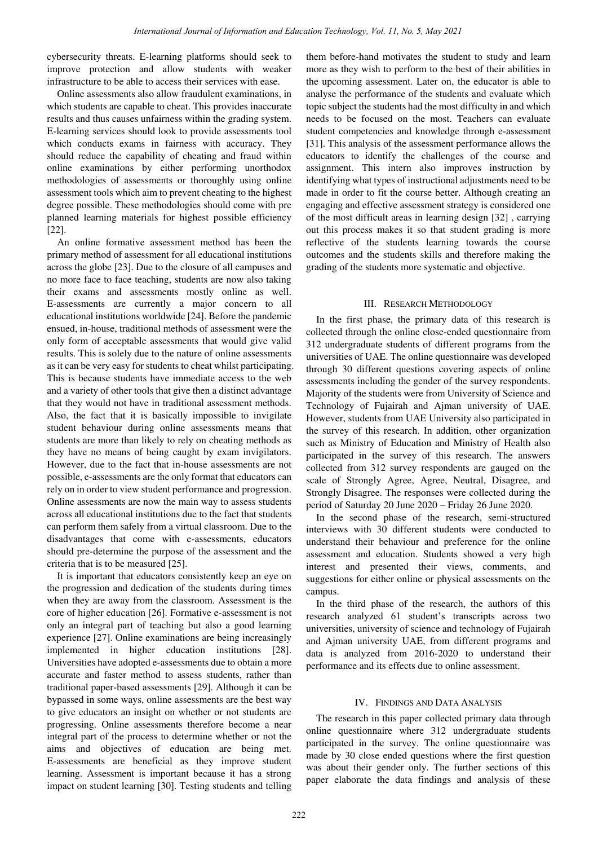cybersecurity threats. E-learning platforms should seek to improve protection and allow students with weaker infrastructure to be able to access their services with ease.

Online assessments also allow fraudulent examinations, in which students are capable to cheat. This provides inaccurate results and thus causes unfairness within the grading system. E-learning services should look to provide assessments tool which conducts exams in fairness with accuracy. They should reduce the capability of cheating and fraud within online examinations by either performing unorthodox methodologies of assessments or thoroughly using online assessment tools which aim to prevent cheating to the highest degree possible. These methodologies should come with pre planned learning materials for highest possible efficiency [22].

An online formative assessment method has been the primary method of assessment for all educational institutions across the globe [23]. Due to the closure of all campuses and no more face to face teaching, students are now also taking their exams and assessments mostly online as well. E-assessments are currently a major concern to all educational institutions worldwide [24]. Before the pandemic ensued, in-house, traditional methods of assessment were the only form of acceptable assessments that would give valid results. This is solely due to the nature of online assessments as it can be very easy for students to cheat whilst participating. This is because students have immediate access to the web and a variety of other tools that give then a distinct advantage that they would not have in traditional assessment methods. Also, the fact that it is basically impossible to invigilate student behaviour during online assessments means that students are more than likely to rely on cheating methods as they have no means of being caught by exam invigilators. However, due to the fact that in-house assessments are not possible, e-assessments are the only format that educators can rely on in order to view student performance and progression. Online assessments are now the main way to assess students across all educational institutions due to the fact that students can perform them safely from a virtual classroom. Due to the disadvantages that come with e-assessments, educators should pre-determine the purpose of the assessment and the criteria that is to be measured [25].

It is important that educators consistently keep an eye on the progression and dedication of the students during times when they are away from the classroom. Assessment is the core of higher education [26]. Formative e-assessment is not only an integral part of teaching but also a good learning experience [27]. Online examinations are being increasingly implemented in higher education institutions [28]. Universities have adopted e-assessments due to obtain a more accurate and faster method to assess students, rather than traditional paper-based assessments [29]. Although it can be bypassed in some ways, online assessments are the best way to give educators an insight on whether or not students are progressing. Online assessments therefore become a near integral part of the process to determine whether or not the aims and objectives of education are being met. E-assessments are beneficial as they improve student learning. Assessment is important because it has a strong impact on student learning [30]. Testing students and telling

them before-hand motivates the student to study and learn more as they wish to perform to the best of their abilities in the upcoming assessment. Later on, the educator is able to analyse the performance of the students and evaluate which topic subject the students had the most difficulty in and which needs to be focused on the most. Teachers can evaluate student competencies and knowledge through e-assessment [31]. This analysis of the assessment performance allows the educators to identify the challenges of the course and assignment. This intern also improves instruction by identifying what types of instructional adjustments need to be made in order to fit the course better. Although creating an engaging and effective assessment strategy is considered one of the most difficult areas in learning design [32] , carrying out this process makes it so that student grading is more reflective of the students learning towards the course outcomes and the students skills and therefore making the grading of the students more systematic and objective.

## III. RESEARCH METHODOLOGY

In the first phase, the primary data of this research is collected through the online close-ended questionnaire from 312 undergraduate students of different programs from the universities of UAE. The online questionnaire was developed through 30 different questions covering aspects of online assessments including the gender of the survey respondents. Majority of the students were from University of Science and Technology of Fujairah and Ajman university of UAE. However, students from UAE University also participated in the survey of this research. In addition, other organization such as Ministry of Education and Ministry of Health also participated in the survey of this research. The answers collected from 312 survey respondents are gauged on the scale of Strongly Agree, Agree, Neutral, Disagree, and Strongly Disagree. The responses were collected during the period of Saturday 20 June 2020 – Friday 26 June 2020.

In the second phase of the research, semi-structured interviews with 30 different students were conducted to understand their behaviour and preference for the online assessment and education. Students showed a very high interest and presented their views, comments, and suggestions for either online or physical assessments on the campus.

In the third phase of the research, the authors of this research analyzed 61 student's transcripts across two universities, university of science and technology of Fujairah and Ajman university UAE, from different programs and data is analyzed from 2016-2020 to understand their performance and its effects due to online assessment.

## IV. FINDINGS AND DATA ANALYSIS

The research in this paper collected primary data through online questionnaire where 312 undergraduate students participated in the survey. The online questionnaire was made by 30 close ended questions where the first question was about their gender only. The further sections of this paper elaborate the data findings and analysis of these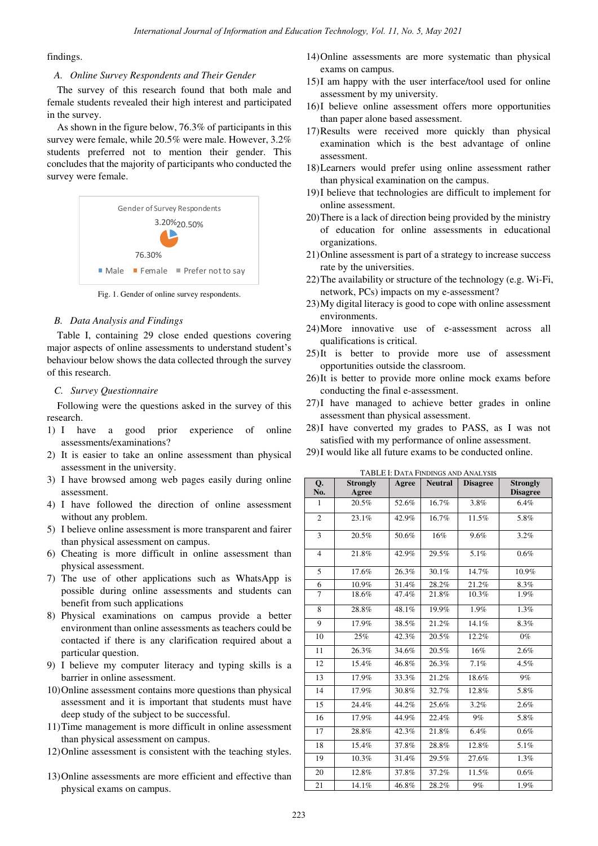findings.

#### *A. Online Survey Respondents and Their Gender*

The survey of this research found that both male and female students revealed their high interest and participated in the survey.

As shown in the figure below, 76.3% of participants in this survey were female, while 20.5% were male. However, 3.2% students preferred not to mention their gender. This concludes that the majority of participants who conducted the survey were female.



Fig. 1. Gender of online survey respondents.

#### *B. Data Analysis and Findings*

Table I, containing 29 close ended questions covering major aspects of online assessments to understand student's behaviour below shows the data collected through the survey of this research.

#### *C. Survey Questionnaire*

Following were the questions asked in the survey of this research.

- 1) I have a good prior experience of online assessments/examinations?
- 2) It is easier to take an online assessment than physical assessment in the university.
- 3) I have browsed among web pages easily during online assessment.
- 4) I have followed the direction of online assessment without any problem.
- 5) I believe online assessment is more transparent and fairer than physical assessment on campus.
- 6) Cheating is more difficult in online assessment than physical assessment.
- 7) The use of other applications such as WhatsApp is possible during online assessments and students can benefit from such applications
- 8) Physical examinations on campus provide a better environment than online assessments as teachers could be contacted if there is any clarification required about a particular question.
- 9) I believe my computer literacy and typing skills is a barrier in online assessment.
- 10)Online assessment contains more questions than physical assessment and it is important that students must have deep study of the subject to be successful.
- 11)Time management is more difficult in online assessment than physical assessment on campus.
- 12)Online assessment is consistent with the teaching styles.
- 13)Online assessments are more efficient and effective than physical exams on campus.
- 14)Online assessments are more systematic than physical exams on campus.
- 15)I am happy with the user interface/tool used for online assessment by my university.
- 16)I believe online assessment offers more opportunities than paper alone based assessment.
- 17)Results were received more quickly than physical examination which is the best advantage of online assessment.
- 18)Learners would prefer using online assessment rather than physical examination on the campus.
- 19)I believe that technologies are difficult to implement for online assessment.
- 20)There is a lack of direction being provided by the ministry of education for online assessments in educational organizations.
- 21)Online assessment is part of a strategy to increase success rate by the universities.
- 22)The availability or structure of the technology (e.g. Wi-Fi, network, PCs) impacts on my e-assessment?
- 23)My digital literacy is good to cope with online assessment environments.
- 24)More innovative use of e-assessment across all qualifications is critical.
- 25)It is better to provide more use of assessment opportunities outside the classroom.
- 26)It is better to provide more online mock exams before conducting the final e-assessment.
- 27)I have managed to achieve better grades in online assessment than physical assessment.
- 28)I have converted my grades to PASS, as I was not satisfied with my performance of online assessment.
- 29)I would like all future exams to be conducted online.

| Q.             | <b>Strongly</b> | Agree | <b>Neutral</b> | <b>Disagree</b> | <b>Strongly</b> |
|----------------|-----------------|-------|----------------|-----------------|-----------------|
| No.            | Agree           |       |                |                 | <b>Disagree</b> |
| $\mathbf{1}$   | 20.5%           | 52.6% | 16.7%          | 3.8%            | 6.4%            |
| $\overline{c}$ | 23.1%           | 42.9% | 16.7%          | 11.5%           | 5.8%            |
| 3              | 20.5%           | 50.6% | 16%            | 9.6%            | 3.2%            |
| $\overline{4}$ | 21.8%           | 42.9% | 29.5%          | 5.1%            | 0.6%            |
| 5              | 17.6%           | 26.3% | 30.1%          | 14.7%           | 10.9%           |
| 6              | 10.9%           | 31.4% | 28.2%          | 21.2%           | 8.3%            |
| $\overline{7}$ | 18.6%           | 47.4% | 21.8%          | 10.3%           | 1.9%            |
| 8              | 28.8%           | 48.1% | 19.9%          | 1.9%            | 1.3%            |
| 9              | 17.9%           | 38.5% | 21.2%          | 14.1%           | 8.3%            |
| 10             | 25%             | 42.3% | 20.5%          | 12.2%           | $0\%$           |
| 11             | 26.3%           | 34.6% | 20.5%          | 16%             | 2.6%            |
| 12             | 15.4%           | 46.8% | 26.3%          | 7.1%            | 4.5%            |
| 13             | 17.9%           | 33.3% | 21.2%          | 18.6%           | 9%              |
| 14             | 17.9%           | 30.8% | 32.7%          | 12.8%           | 5.8%            |
| 15             | 24.4%           | 44.2% | 25.6%          | 3.2%            | 2.6%            |
| 16             | 17.9%           | 44.9% | 22.4%          | 9%              | 5.8%            |
| 17             | 28.8%           | 42.3% | 21.8%          | 6.4%            | 0.6%            |
| 18             | 15.4%           | 37.8% | 28.8%          | 12.8%           | 5.1%            |
| 19             | 10.3%           | 31.4% | 29.5%          | 27.6%           | 1.3%            |
| 20             | 12.8%           | 37.8% | 37.2%          | 11.5%           | 0.6%            |
| 21             | 14.1%           | 46.8% | 28.2%          | 9%              | 1.9%            |

TABLE I: DATA FINDINGS AND ANALYSIS

 $\overline{\phantom{a}}$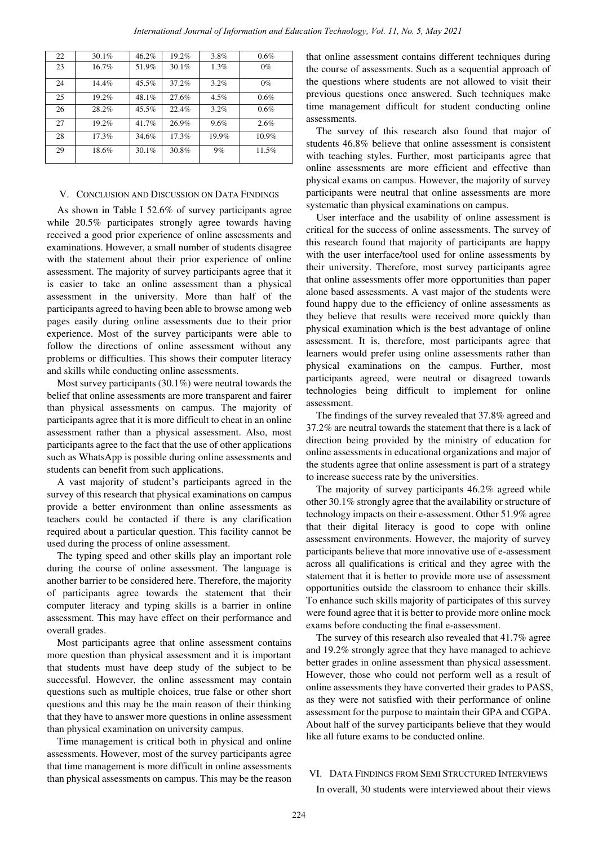| 22 | 30.1% | 46.2%    | 19.2% | 3.8%    | 0.6%     |
|----|-------|----------|-------|---------|----------|
| 23 | 16.7% | 51.9%    | 30.1% | 1.3%    | $0\%$    |
| 24 | 14.4% | $45.5\%$ | 37.2% | 3.2%    | $0\%$    |
| 25 | 19.2% | 48.1%    | 27.6% | $4.5\%$ | 0.6%     |
| 26 | 28.2% | $45.5\%$ | 22.4% | 3.2%    | 0.6%     |
| 27 | 19.2% | 41.7%    | 26.9% | 9.6%    | 2.6%     |
| 28 | 17.3% | 34.6%    | 17.3% | 19.9%   | $10.9\%$ |
| 29 | 18.6% | $30.1\%$ | 30.8% | 9%      | 11.5%    |

## V. CONCLUSION AND DISCUSSION ON DATA FINDINGS

As shown in Table I 52.6% of survey participants agree while 20.5% participates strongly agree towards having received a good prior experience of online assessments and examinations. However, a small number of students disagree with the statement about their prior experience of online assessment. The majority of survey participants agree that it is easier to take an online assessment than a physical assessment in the university. More than half of the participants agreed to having been able to browse among web pages easily during online assessments due to their prior experience. Most of the survey participants were able to follow the directions of online assessment without any problems or difficulties. This shows their computer literacy and skills while conducting online assessments.

Most survey participants (30.1%) were neutral towards the belief that online assessments are more transparent and fairer than physical assessments on campus. The majority of participants agree that it is more difficult to cheat in an online assessment rather than a physical assessment. Also, most participants agree to the fact that the use of other applications such as WhatsApp is possible during online assessments and students can benefit from such applications.

A vast majority of student's participants agreed in the survey of this research that physical examinations on campus provide a better environment than online assessments as teachers could be contacted if there is any clarification required about a particular question. This facility cannot be used during the process of online assessment.

The typing speed and other skills play an important role during the course of online assessment. The language is another barrier to be considered here. Therefore, the majority of participants agree towards the statement that their computer literacy and typing skills is a barrier in online assessment. This may have effect on their performance and overall grades.

Most participants agree that online assessment contains more question than physical assessment and it is important that students must have deep study of the subject to be successful. However, the online assessment may contain questions such as multiple choices, true false or other short questions and this may be the main reason of their thinking that they have to answer more questions in online assessment than physical examination on university campus.

Time management is critical both in physical and online assessments. However, most of the survey participants agree that time management is more difficult in online assessments than physical assessments on campus. This may be the reason that online assessment contains different techniques during the course of assessments. Such as a sequential approach of the questions where students are not allowed to visit their previous questions once answered. Such techniques make time management difficult for student conducting online assessments.

The survey of this research also found that major of students 46.8% believe that online assessment is consistent with teaching styles. Further, most participants agree that online assessments are more efficient and effective than physical exams on campus. However, the majority of survey participants were neutral that online assessments are more systematic than physical examinations on campus.

User interface and the usability of online assessment is critical for the success of online assessments. The survey of this research found that majority of participants are happy with the user interface/tool used for online assessments by their university. Therefore, most survey participants agree that online assessments offer more opportunities than paper alone based assessments. A vast major of the students were found happy due to the efficiency of online assessments as they believe that results were received more quickly than physical examination which is the best advantage of online assessment. It is, therefore, most participants agree that learners would prefer using online assessments rather than physical examinations on the campus. Further, most participants agreed, were neutral or disagreed towards technologies being difficult to implement for online assessment.

The findings of the survey revealed that 37.8% agreed and 37.2% are neutral towards the statement that there is a lack of direction being provided by the ministry of education for online assessments in educational organizations and major of the students agree that online assessment is part of a strategy to increase success rate by the universities.

The majority of survey participants 46.2% agreed while other 30.1% strongly agree that the availability or structure of technology impacts on their e-assessment. Other 51.9% agree that their digital literacy is good to cope with online assessment environments. However, the majority of survey participants believe that more innovative use of e-assessment across all qualifications is critical and they agree with the statement that it is better to provide more use of assessment opportunities outside the classroom to enhance their skills. To enhance such skills majority of participates of this survey were found agree that it is better to provide more online mock exams before conducting the final e-assessment.

The survey of this research also revealed that 41.7% agree and 19.2% strongly agree that they have managed to achieve better grades in online assessment than physical assessment. However, those who could not perform well as a result of online assessments they have converted their grades to PASS, as they were not satisfied with their performance of online assessment for the purpose to maintain their GPA and CGPA. About half of the survey participants believe that they would like all future exams to be conducted online.

## VI. DATA FINDINGS FROM SEMI STRUCTURED INTERVIEWS

In overall, 30 students were interviewed about their views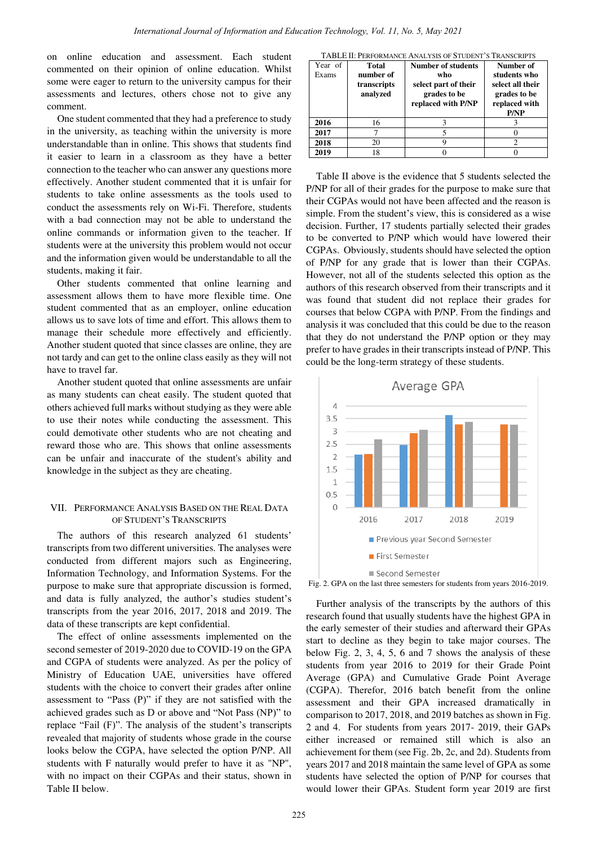on online education and assessment. Each student commented on their opinion of online education. Whilst some were eager to return to the university campus for their assessments and lectures, others chose not to give any comment.

One student commented that they had a preference to study in the university, as teaching within the university is more understandable than in online. This shows that students find it easier to learn in a classroom as they have a better connection to the teacher who can answer any questions more effectively. Another student commented that it is unfair for students to take online assessments as the tools used to conduct the assessments rely on Wi-Fi. Therefore, students with a bad connection may not be able to understand the online commands or information given to the teacher. If students were at the university this problem would not occur and the information given would be understandable to all the students, making it fair.

Other students commented that online learning and assessment allows them to have more flexible time. One student commented that as an employer, online education allows us to save lots of time and effort. This allows them to manage their schedule more effectively and efficiently. Another student quoted that since classes are online, they are not tardy and can get to the online class easily as they will not have to travel far.

Another student quoted that online assessments are unfair as many students can cheat easily. The student quoted that others achieved full marks without studying as they were able to use their notes while conducting the assessment. This could demotivate other students who are not cheating and reward those who are. This shows that online assessments can be unfair and inaccurate of the student's ability and knowledge in the subject as they are cheating.

#### VII. PERFORMANCE ANALYSIS BASED ON THE REAL DATA OF STUDENT'S TRANSCRIPTS

The authors of this research analyzed 61 students' transcripts from two different universities. The analyses were conducted from different majors such as Engineering, Information Technology, and Information Systems. For the purpose to make sure that appropriate discussion is formed, and data is fully analyzed, the author's studies student's transcripts from the year 2016, 2017, 2018 and 2019. The data of these transcripts are kept confidential.

The effect of online assessments implemented on the second semester of 2019-2020 due to COVID-19 on the GPA and CGPA of students were analyzed. As per the policy of Ministry of Education UAE, universities have offered students with the choice to convert their grades after online assessment to "Pass  $(P)$ " if they are not satisfied with the achieved grades such as D or above and "Not Pass (NP)" to replace "Fail  $(F)$ ". The analysis of the student's transcripts revealed that majority of students whose grade in the course looks below the CGPA, have selected the option P/NP. All students with F naturally would prefer to have it as "NP", with no impact on their CGPAs and their status, shown in Table II below.

| TABLE II: PERFORMANCE ANALYSIS OF STUDENT'S TRANSCRIPTS |  |
|---------------------------------------------------------|--|
|---------------------------------------------------------|--|

| Year of<br>Exams | Total<br>number of<br>transcripts<br>analyzed | <b>Number of students</b><br>who<br>select part of their<br>grades to be<br>replaced with P/NP | Number of<br>students who<br>select all their<br>grades to be<br>replaced with<br>P/NP |
|------------------|-----------------------------------------------|------------------------------------------------------------------------------------------------|----------------------------------------------------------------------------------------|
| 2016             | 16                                            |                                                                                                |                                                                                        |
| 2017             |                                               |                                                                                                |                                                                                        |
| 2018             | 20                                            |                                                                                                |                                                                                        |
| 2019             | 18                                            |                                                                                                |                                                                                        |

Table II above is the evidence that 5 students selected the P/NP for all of their grades for the purpose to make sure that their CGPAs would not have been affected and the reason is simple. From the student's view, this is considered as a wise decision. Further, 17 students partially selected their grades to be converted to P/NP which would have lowered their CGPAs. Obviously, students should have selected the option of P/NP for any grade that is lower than their CGPAs. However, not all of the students selected this option as the authors of this research observed from their transcripts and it was found that student did not replace their grades for courses that below CGPA with P/NP. From the findings and analysis it was concluded that this could be due to the reason that they do not understand the P/NP option or they may prefer to have grades in their transcripts instead of P/NP. This could be the long-term strategy of these students.



Fig. 2. GPA on the last three semesters for students from years 2016-2019.

Further analysis of the transcripts by the authors of this research found that usually students have the highest GPA in the early semester of their studies and afterward their GPAs start to decline as they begin to take major courses. The below Fig. 2, 3, 4, 5, 6 and 7 shows the analysis of these students from year 2016 to 2019 for their Grade Point Average (GPA) and Cumulative Grade Point Average (CGPA). Therefor, 2016 batch benefit from the online assessment and their GPA increased dramatically in comparison to 2017, 2018, and 2019 batches as shown in Fig. 2 and 4. For students from years 2017- 2019, their GAPs either increased or remained still which is also an achievement for them (see Fig. 2b, 2c, and 2d). Students from years 2017 and 2018 maintain the same level of GPA as some students have selected the option of P/NP for courses that would lower their GPAs. Student form year 2019 are first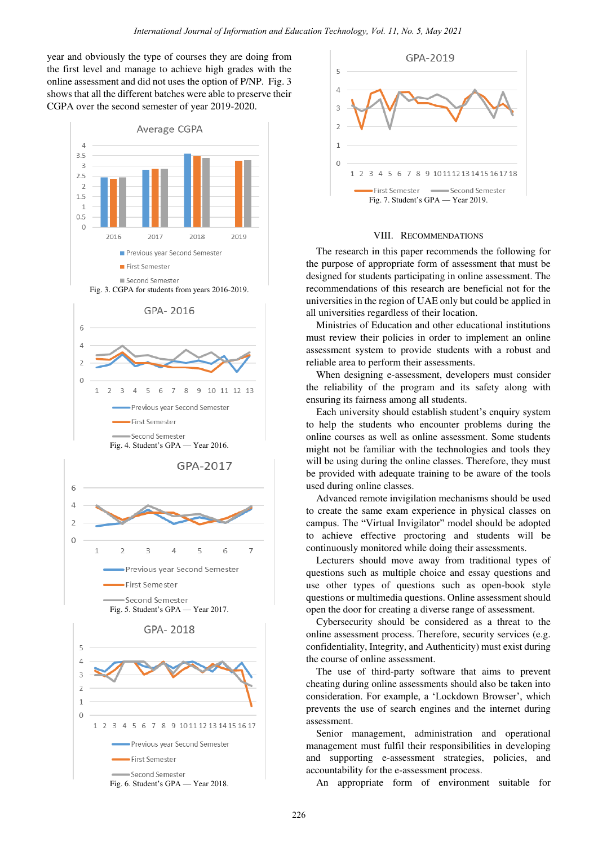year and obviously the type of courses they are doing from the first level and manage to achieve high grades with the online assessment and did not uses the option of P/NP. Fig. 3 shows that all the different batches were able to preserve their CGPA over the second semester of year 2019-2020.



Fig. 6. Student's GPA — Year 2018.



## VIII. RECOMMENDATIONS

The research in this paper recommends the following for the purpose of appropriate form of assessment that must be designed for students participating in online assessment. The recommendations of this research are beneficial not for the universities in the region of UAE only but could be applied in all universities regardless of their location.

Ministries of Education and other educational institutions must review their policies in order to implement an online assessment system to provide students with a robust and reliable area to perform their assessments.

When designing e-assessment, developers must consider the reliability of the program and its safety along with ensuring its fairness among all students.

Each university should establish student's enquiry system to help the students who encounter problems during the online courses as well as online assessment. Some students might not be familiar with the technologies and tools they will be using during the online classes. Therefore, they must be provided with adequate training to be aware of the tools used during online classes.

Advanced remote invigilation mechanisms should be used to create the same exam experience in physical classes on campus. The "Virtual Invigilator" model should be adopted to achieve effective proctoring and students will be continuously monitored while doing their assessments.

Lecturers should move away from traditional types of questions such as multiple choice and essay questions and use other types of questions such as open-book style questions or multimedia questions. Online assessment should open the door for creating a diverse range of assessment.

Cybersecurity should be considered as a threat to the online assessment process. Therefore, security services (e.g. confidentiality, Integrity, and Authenticity) must exist during the course of online assessment.

The use of third-party software that aims to prevent cheating during online assessments should also be taken into consideration. For example, a 'Lockdown Browser', which prevents the use of search engines and the internet during assessment.

Senior management, administration and operational management must fulfil their responsibilities in developing and supporting e-assessment strategies, policies, and accountability for the e-assessment process.

An appropriate form of environment suitable for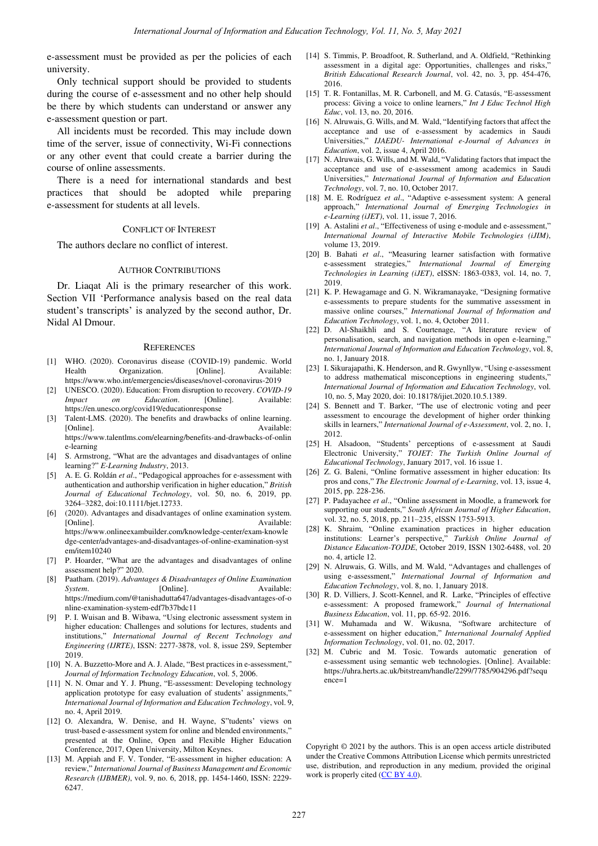e-assessment must be provided as per the policies of each university.

Only technical support should be provided to students during the course of e-assessment and no other help should be there by which students can understand or answer any e-assessment question or part.

All incidents must be recorded. This may include down time of the server, issue of connectivity, Wi-Fi connections or any other event that could create a barrier during the course of online assessments.

There is a need for international standards and best practices that should be adopted while preparing e-assessment for students at all levels.

#### CONFLICT OF INTEREST

The authors declare no conflict of interest.

#### AUTHOR CONTRIBUTIONS

Dr. Liaqat Ali is the primary researcher of this work. Section VII 'Performance analysis based on the real data student's transcripts' is analyzed by the second author, Dr. Nidal Al Dmour.

#### **REFERENCES**

- [1] WHO. (2020). Coronavirus disease (COVID-19) pandemic. World Health Organization. [Online]. Available: https://www.who.int/emergencies/diseases/novel-coronavirus-2019
- [2] UNESCO. (2020). Education: From disruption to recovery. *COVID-19 Impact* on *Education*. [Online]. Available: https://en.unesco.org/covid19/educationresponse
- [3] Talent-LMS. (2020). The benefits and drawbacks of online learning. [Online]. Available: https://www.talentlms.com/elearning/benefits-and-drawbacks-of-onlin e-learning
- S. Armstrong, "What are the advantages and disadvantages of online learning?" E-Learning Industry, 2013.
- [5] A. E. G. Roldán et al., "Pedagogical approaches for e-assessment with authentication and authorship verification in higher education," British *Journal of Educational Technology*, vol. 50, no. 6, 2019, pp. 3264–3282, doi:10.1111/bjet.12733.
- [6] (2020). Advantages and disadvantages of online examination system. [Online]. Available: https://www.onlineexambuilder.com/knowledge-center/exam-knowle dge-center/advantages-and-disadvantages-of-online-examination-syst em/item10240
- [7] P. Hoarder, "What are the advantages and disadvantages of online assessment help?" 2020.
- [8] Paatham. (2019). *Advantages & Disadvantages of Online Examination System.* [Online]. Available: https://medium.com/@tanishadutta647/advantages-disadvantages-of-o nline-examination-system-edf7b37bdc11
- P. I. Wuisan and B. Wibawa, "Using electronic assessment system in higher education: Challenges and solutions for lectures, students and institutions,‖ *International Journal of Recent Technology and Engineering (IJRTE)*, ISSN: 2277-3878, vol. 8, issue 2S9, September 2019.
- [10] N. A. Buzzetto-More and A. J. Alade, "Best practices in e-assessment," *Journal of Information Technology Education*, vol. 5, 2006.
- [11] N. N. Omar and Y. J. Phung, "E-assessment: Developing technology application prototype for easy evaluation of students' assignments, *International Journal of Information and Education Technology*, vol. 9, no. 4, April 2019.
- [12] O. Alexandra, W. Denise, and H. Wayne, S"tudents' views on trust-based e-assessment system for online and blended environments," presented at the Online, Open and Flexible Higher Education Conference, 2017, Open University, Milton Keynes.
- [13] M. Appiah and F. V. Tonder, "E-assessment in higher education: A review," International Journal of Business Management and Economic *Research (IJBMER)*, vol. 9, no. 6, 2018, pp. 1454-1460, ISSN: 2229- 6247.
- [14] S. Timmis, P. Broadfoot, R. Sutherland, and A. Oldfield, "Rethinking assessment in a digital age: Opportunities, challenges and risks, *British Educational Research Journal*, vol. 42, no. 3, pp. 454-476, 2016.
- [15] T. R. Fontanillas, M. R. Carbonell, and M. G. Catasús, "E-assessment process: Giving a voice to online learners," Int J Educ Technol High *Educ*, vol. 13, no. 20, 2016.
- [16] N. Alruwais, G. Wills, and M. Wald, "Identifying factors that affect the acceptance and use of e-assessment by academics in Saudi Universities,‖ *IJAEDU- International e-Journal of Advances in Education*, vol. 2, issue 4, April 2016.
- [17] N. Alruwais, G. Wills, and M. Wald, "Validating factors that impact the acceptance and use of e-assessment among academics in Saudi Universities,‖ *International Journal of Information and Education Technology*, vol. 7, no. 10, October 2017.
- [18] M. E. Rodríguez *et al.*, "Adaptive e-assessment system: A general approach,‖ *International Journal of Emerging Technologies in e-Learning (iJET)*, vol. 11, issue 7, 2016.
- [19] A. Astalini *et al.*, "Effectiveness of using e-module and e-assessment," *International Journal of Interactive Mobile Technologies (iJIM)*, volume 13, 2019.
- [20] B. Bahati et al., "Measuring learner satisfaction with formative e-assessment strategies,‖ *International Journal of Emerging Technologies in Learning (iJET)*, eISSN: 1863-0383, vol. 14, no. 7, 2019.
- [21] K. P. Hewagamage and G. N. Wikramanayake, "Designing formative e-assessments to prepare students for the summative assessment in massive online courses,‖ *International Journal of Information and Education Technology*, vol. 1, no. 4, October 2011.
- [22] D. Al-Shaikhli and S. Courtenage, "A literature review of personalisation, search, and navigation methods in open e-learning," *International Journal of Information and Education Technology*, vol. 8, no. 1, January 2018.
- [23] I. Sikurajapathi, K. Henderson, and R. Gwynllyw, "Using e-assessment to address mathematical misconceptions in engineering students," *International Journal of Information and Education Technology*, vol. 10, no. 5, May 2020, doi: 10.18178/ijiet.2020.10.5.1389.
- [24] S. Bennett and T. Barker, "The use of electronic voting and peer assessment to encourage the development of higher order thinking skills in learners," *International Journal of e-Assessment*, vol. 2, no. 1, 2012.
- [25] H. Alsadoon, "Students' perceptions of e-assessment at Saudi Electronic University," TOJET: The Turkish Online Journal of *Educational Technology*, January 2017, vol. 16 issue 1.
- [26] Z. G. Baleni, "Online formative assessment in higher education: Its pros and cons," The Electronic Journal of e-Learning, vol. 13, issue 4, 2015, pp. 228-236.
- [27] P. Padayachee et al., "Online assessment in Moodle, a framework for supporting our students," South African Journal of Higher Education, vol. 32, no. 5, 2018, pp. 211-235, eISSN 1753-5913.
- [28] K. Shraim, "Online examination practices in higher education institutions: Learner's perspective," Turkish Online Journal of *Distance Education-TOJDE*, October 2019, ISSN 1302-6488, vol. 20 no. 4, article 12.
- [29] N. Alruwais, G. Wills, and M. Wald, "Advantages and challenges of using e-assessment,‖ *International Journal of Information and Education Technology*, vol. 8, no. 1, January 2018.
- [30] R. D. Villiers, J. Scott-Kennel, and R. Larke, "Principles of effective e-assessment: A proposed framework," Journal of International *Business Education*, vol. 11, pp. 65-92. 2016.
- [31] W. Muhamada and W. Wikusna, "Software architecture of e-assessment on higher education,‖ *International Journalof Applied Information Technology*, vol. 01, no. 02, 2017.
- [32] M. Cubric and M. Tosic. Towards automatic generation of e-assessment using semantic web technologies. [Online]. Available: https://uhra.herts.ac.uk/bitstream/handle/2299/7785/904296.pdf?sequ ence=1

Copyright © 2021 by the authors. This is an open access article distributed under the Creative Commons Attribution License which permits unrestricted use, distribution, and reproduction in any medium, provided the original work is properly cited [\(CC BY 4.0\)](https://creativecommons.org/licenses/by/4.0/).